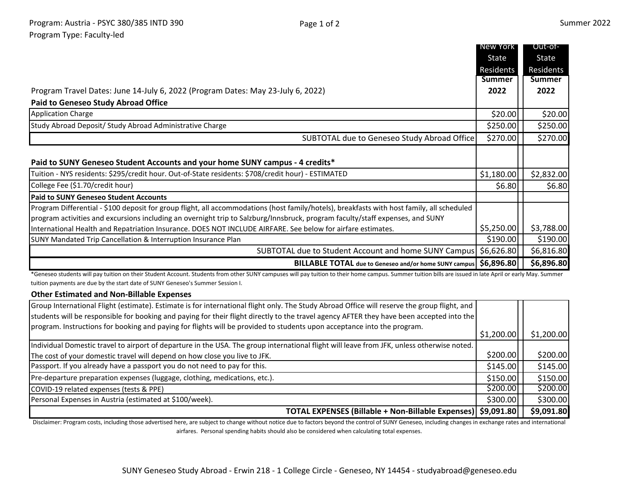|                                                                                                                                                                                                                                                                             | New York   | Out-of-       |
|-----------------------------------------------------------------------------------------------------------------------------------------------------------------------------------------------------------------------------------------------------------------------------|------------|---------------|
|                                                                                                                                                                                                                                                                             | State      | State         |
|                                                                                                                                                                                                                                                                             | Residents  | Residents     |
|                                                                                                                                                                                                                                                                             | Summer     | <b>Summer</b> |
| Program Travel Dates: June 14-July 6, 2022 (Program Dates: May 23-July 6, 2022)                                                                                                                                                                                             | 2022       | 2022          |
| <b>Paid to Geneseo Study Abroad Office</b>                                                                                                                                                                                                                                  |            |               |
| <b>Application Charge</b>                                                                                                                                                                                                                                                   | \$20.00    | \$20.00       |
| Study Abroad Deposit/ Study Abroad Administrative Charge                                                                                                                                                                                                                    | \$250.00   | \$250.00      |
| SUBTOTAL due to Geneseo Study Abroad Office                                                                                                                                                                                                                                 | \$270.00   | \$270.00      |
| Paid to SUNY Geneseo Student Accounts and your home SUNY campus - 4 credits*                                                                                                                                                                                                |            |               |
| Tuition - NYS residents: \$295/credit hour. Out-of-State residents: \$708/credit hour) - ESTIMATED                                                                                                                                                                          | \$1,180.00 | \$2,832.00    |
| College Fee (\$1.70/credit hour)                                                                                                                                                                                                                                            | \$6.80     | \$6.80        |
| <b>Paid to SUNY Geneseo Student Accounts</b>                                                                                                                                                                                                                                |            |               |
| Program Differential - \$100 deposit for group flight, all accommodations (host family/hotels), breakfasts with host family, all scheduled<br>program activities and excursions including an overnight trip to Salzburg/Innsbruck, program faculty/staff expenses, and SUNY |            |               |
| International Health and Repatriation Insurance. DOES NOT INCLUDE AIRFARE. See below for airfare estimates.                                                                                                                                                                 | \$5,250.00 | \$3,788.00    |
| SUNY Mandated Trip Cancellation & Interruption Insurance Plan                                                                                                                                                                                                               | \$190.00   | \$190.00      |
| SUBTOTAL due to Student Account and home SUNY Campus   \$6,626.80                                                                                                                                                                                                           |            | \$6,816.80    |
| BILLABLE TOTAL due to Geneseo and/or home SUNY campus   \$6,896.80                                                                                                                                                                                                          |            | \$6,896.80    |
| *Geneseo students will pay tuition on their Student Account. Students from other SUNY campuses will pay tuition to their home campus. Summer tuition bills are issued in late April or early May. Summer                                                                    |            |               |
| tuition payments are due by the start date of SUNY Geneseo's Summer Session I.                                                                                                                                                                                              |            |               |

## **Other Estimated and Non-Billable Expenses**

| Group International Flight (estimate). Estimate is for international flight only. The Study Abroad Office will reserve the group flight, and |            |            |
|----------------------------------------------------------------------------------------------------------------------------------------------|------------|------------|
| students will be responsible for booking and paying for their flight directly to the travel agency AFTER they have been accepted into the    |            |            |
| program. Instructions for booking and paying for flights will be provided to students upon acceptance into the program.                      | \$1,200.00 | \$1,200.00 |
| Individual Domestic travel to airport of departure in the USA. The group international flight will leave from JFK, unless otherwise noted.   |            |            |
| The cost of your domestic travel will depend on how close you live to JFK.                                                                   | \$200.00   | \$200.00   |
| Passport. If you already have a passport you do not need to pay for this.                                                                    | \$145.00   | \$145.00   |
| Pre-departure preparation expenses (luggage, clothing, medications, etc.).                                                                   | \$150.00   | \$150.00   |
| COVID-19 related expenses (tests & PPE)                                                                                                      | \$200.00   | \$200.00   |
| Personal Expenses in Austria (estimated at \$100/week).                                                                                      | \$300.00   | \$300.00   |
| TOTAL EXPENSES (Billable + Non-Billable Expenses)   \$9,091.80                                                                               |            | \$9,091.80 |

Disclaimer: Program costs, including those advertised here, are subject to change without notice due to factors beyond the control of SUNY Geneseo, including changes in exchange rates and international airfares. Personal spending habits should also be considered when calculating total expenses.